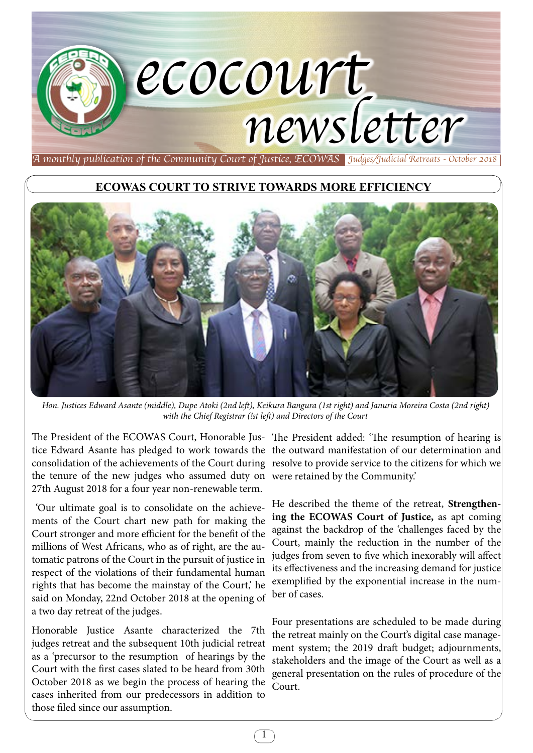## *ecocourt newsletter*

*A monthly publication of the Community Court of Justice, ECOWAS Judges/Judicial Retreats - October 2018*

## **ECOWAS COURT TO STRIVE TOWARDS MORE EFFICIENCY**



*Hon. Justices Edward Asante (middle), Dupe Atoki (2nd left), Keikura Bangura (1st right) and Januria Moreira Costa (2nd right) with the Chief Registrar (!st left) and Directors of the Court*

The President of the ECOWAS Court, Honorable Jus-The President added: 'The resumption of hearing is tice Edward Asante has pledged to work towards the the outward manifestation of our determination and consolidation of the achievements of the Court during resolve to provide service to the citizens for which we the tenure of the new judges who assumed duty on were retained by the Community.' 27th August 2018 for a four year non-renewable term.

 'Our ultimate goal is to consolidate on the achievements of the Court chart new path for making the Court stronger and more efficient for the benefit of the millions of West Africans, who as of right, are the automatic patrons of the Court in the pursuit of justice in respect of the violations of their fundamental human rights that has become the mainstay of the Court,' he said on Monday, 22nd October 2018 at the opening of a two day retreat of the judges.

Honorable Justice Asante characterized the 7th judges retreat and the subsequent 10th judicial retreat as a 'precursor to the resumption of hearings by the Court with the first cases slated to be heard from 30th October 2018 as we begin the process of hearing the cases inherited from our predecessors in addition to those filed since our assumption.

He described the theme of the retreat, **Strengthening the ECOWAS Court of Justice,** as apt coming against the backdrop of the 'challenges faced by the Court, mainly the reduction in the number of the judges from seven to five which inexorably will affect its effectiveness and the increasing demand for justice exemplified by the exponential increase in the number of cases.

Four presentations are scheduled to be made during the retreat mainly on the Court's digital case management system; the 2019 draft budget; adjournments, stakeholders and the image of the Court as well as a general presentation on the rules of procedure of the Court.

1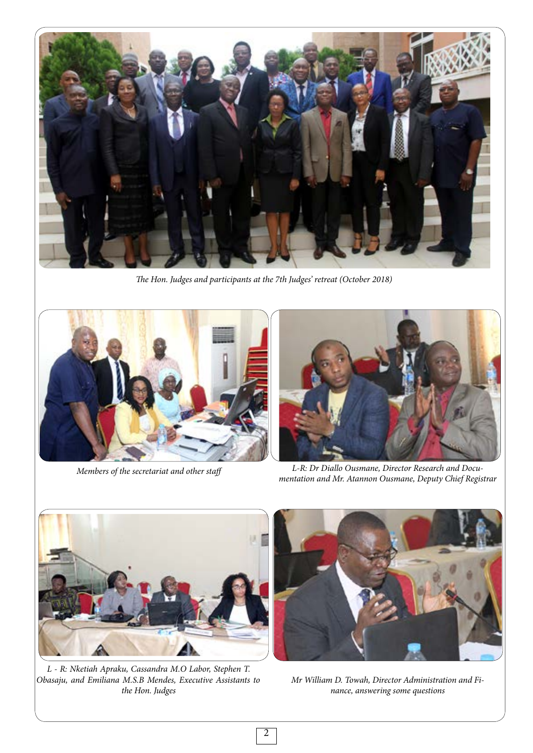

*The Hon. Judges and participants at the 7th Judges' retreat (October 2018)*





*Members of the secretariat and other staff L-R: Dr Diallo Ousmane, Director Research and Documentation and Mr. Atannon Ousmane, Deputy Chief Registrar*



*L - R: Nketiah Apraku, Cassandra M.O Labor, Stephen T. Obasaju, and Emiliana M.S.B Mendes, Executive Assistants to the Hon. Judges* 



*Mr William D. Towah, Director Administration and Finance, answering some questions*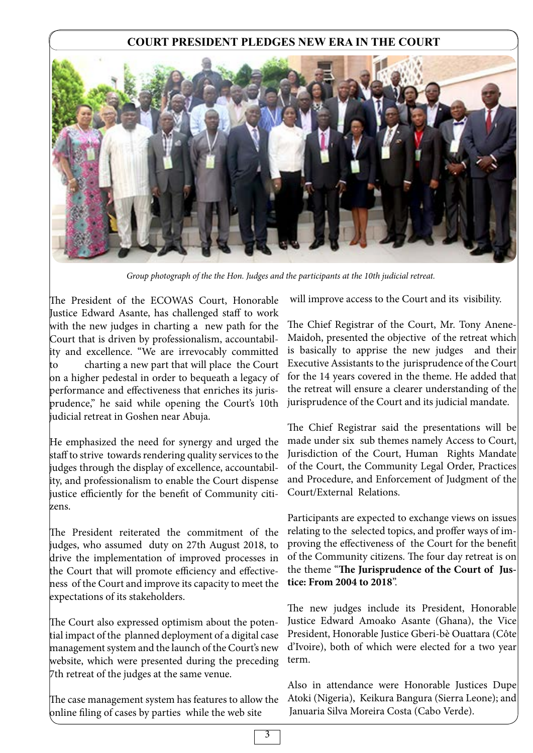## **COURT PRESIDENT PLEDGES NEW ERA IN THE COURT**



*Group photograph of the the Hon. Judges and the participants at the 10th judicial retreat.*

The President of the ECOWAS Court, Honorable Justice Edward Asante, has challenged staff to work with the new judges in charting a new path for the Court that is driven by professionalism, accountability and excellence. "We are irrevocably committed to charting a new part that will place the Court on a higher pedestal in order to bequeath a legacy of performance and effectiveness that enriches its jurisprudence," he said while opening the Court's 10th judicial retreat in Goshen near Abuja.

He emphasized the need for synergy and urged the staff to strive towards rendering quality services to the judges through the display of excellence, accountability, and professionalism to enable the Court dispense justice efficiently for the benefit of Community citizens.

The President reiterated the commitment of the judges, who assumed duty on 27th August 2018, to drive the implementation of improved processes in the Court that will promote efficiency and effectiveness of the Court and improve its capacity to meet the expectations of its stakeholders.

The Court also expressed optimism about the potential impact of the planned deployment of a digital case management system and the launch of the Court's new website, which were presented during the preceding 7th retreat of the judges at the same venue.

The case management system has features to allow the online filing of cases by parties while the web site

will improve access to the Court and its visibility.

The Chief Registrar of the Court, Mr. Tony Anene-Maidoh, presented the objective of the retreat which is basically to apprise the new judges and their Executive Assistants to the jurisprudence of the Court for the 14 years covered in the theme. He added that the retreat will ensure a clearer understanding of the jurisprudence of the Court and its judicial mandate.

The Chief Registrar said the presentations will be made under six sub themes namely Access to Court, Jurisdiction of the Court, Human Rights Mandate of the Court, the Community Legal Order, Practices and Procedure, and Enforcement of Judgment of the Court/External Relations.

Participants are expected to exchange views on issues relating to the selected topics, and proffer ways of improving the effectiveness of the Court for the benefit of the Community citizens. The four day retreat is on the theme "**The Jurisprudence of the Court of Justice: From 2004 to 2018**".

The new judges include its President, Honorable Justice Edward Amoako Asante (Ghana), the Vice President, Honorable Justice Gberi-bè Ouattara (Côte d'Ivoire), both of which were elected for a two year term.

Also in attendance were Honorable Justices Dupe Atoki (Nigeria), Keikura Bangura (Sierra Leone); and Januaria Silva Moreira Costa (Cabo Verde).